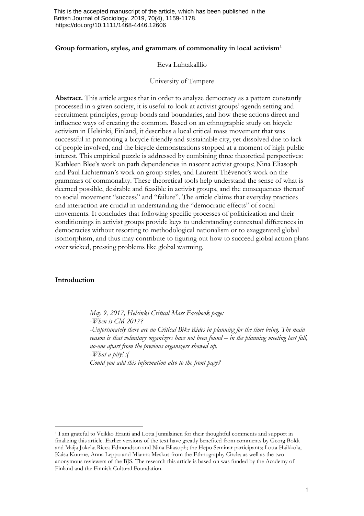### **Group formation, styles, and grammars of commonality in local activism[1](#page-0-0)**

### Eeva Luhtakalllio

#### University of Tampere

Abstract. This article argues that in order to analyze democracy as a pattern constantly processed in a given society, it is useful to look at activist groups' agenda setting and recruitment principles, group bonds and boundaries, and how these actions direct and influence ways of creating the common. Based on an ethnographic study on bicycle activism in Helsinki, Finland, it describes a local critical mass movement that was successful in promoting a bicycle friendly and sustainable city, yet dissolved due to lack of people involved, and the bicycle demonstrations stopped at a moment of high public interest. This empirical puzzle is addressed by combining three theoretical perspectives: Kathleen Blee's work on path dependencies in nascent activist groups; Nina Eliasoph and Paul Lichterman's work on group styles, and Laurent Thévenot's work on the grammars of commonality. These theoretical tools help understand the sense of what is deemed possible, desirable and feasible in activist groups, and the consequences thereof to social movement "success" and "failure". The article claims that everyday practices and interaction are crucial in understanding the "democratic effects" of social movements. It concludes that following specific processes of politicization and their conditionings in activist groups provide keys to understanding contextual differences in democracies without resorting to methodological nationalism or to exaggerated global isomorphism, and thus may contribute to figuring out how to succeed global action plans over wicked, pressing problems like global warming.

# **Introduction**

*May 9, 2017, Helsinki Critical Mass Facebook page: -When is CM 2017? -Unfortunately there are no Critical Bike Rides in planning for the time being. The main reason is that voluntary organizers have not been found – in the planning meeting last fall, no-one apart from the previous organizers showed up. -What a pity! :( Could you add this information also to the front page?*

<span id="page-0-0"></span><sup>&</sup>lt;sup>1</sup> I am grateful to Veikko Eranti and Lotta Junnilainen for their thoughtful comments and support in finalizing this article. Earlier versions of the text have greatly benefited from comments by Georg Boldt and Maija Jokela; Ricca Edmondson and Nina Eliasoph; the Hepo Seminar participants; Lotta Haikkola, Kaisa Kuurne, Anna Leppo and Mianna Meskus from the Ethnography Circle; as well as the two anonymous reviewers of the BJS. The research this article is based on was funded by the Academy of Finland and the Finnish Cultural Foundation.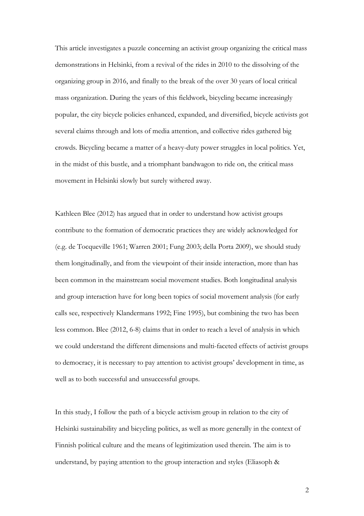This article investigates a puzzle concerning an activist group organizing the critical mass demonstrations in Helsinki, from a revival of the rides in 2010 to the dissolving of the organizing group in 2016, and finally to the break of the over 30 years of local critical mass organization. During the years of this fieldwork, bicycling became increasingly popular, the city bicycle policies enhanced, expanded, and diversified, bicycle activists got several claims through and lots of media attention, and collective rides gathered big crowds. Bicycling became a matter of a heavy-duty power struggles in local politics. Yet, in the midst of this bustle, and a triomphant bandwagon to ride on, the critical mass movement in Helsinki slowly but surely withered away.

Kathleen Blee (2012) has argued that in order to understand how activist groups contribute to the formation of democratic practices they are widely acknowledged for (e.g. de Tocqueville 1961; Warren 2001; Fung 2003; della Porta 2009), we should study them longitudinally, and from the viewpoint of their inside interaction, more than has been common in the mainstream social movement studies. Both longitudinal analysis and group interaction have for long been topics of social movement analysis (for early calls see, respectively Klandermans 1992; Fine 1995), but combining the two has been less common. Blee (2012, 6-8) claims that in order to reach a level of analysis in which we could understand the different dimensions and multi-faceted effects of activist groups to democracy, it is necessary to pay attention to activist groups' development in time, as well as to both successful and unsuccessful groups.

In this study, I follow the path of a bicycle activism group in relation to the city of Helsinki sustainability and bicycling politics, as well as more generally in the context of Finnish political culture and the means of legitimization used therein. The aim is to understand, by paying attention to the group interaction and styles (Eliasoph &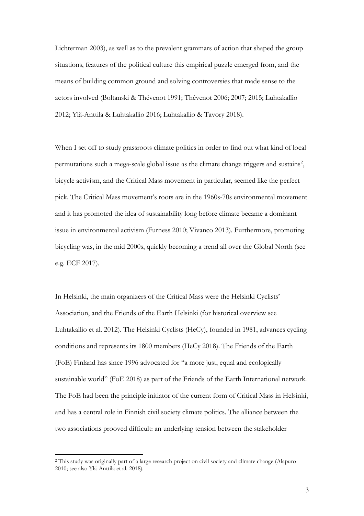Lichterman 2003), as well as to the prevalent grammars of action that shaped the group situations, features of the political culture this empirical puzzle emerged from, and the means of building common ground and solving controversies that made sense to the actors involved (Boltanski & Thévenot 1991; Thévenot 2006; 2007; 2015; Luhtakallio 2012; Ylä-Anttila & Luhtakallio 2016; Luhtakallio & Tavory 2018).

When I set off to study grassroots climate politics in order to find out what kind of local permutations such a mega-scale global issue as the climate change triggers and sustains<sup>[2](#page-2-0)</sup>, bicycle activism, and the Critical Mass movement in particular, seemed like the perfect pick. The Critical Mass movement's roots are in the 1960s-70s environmental movement and it has promoted the idea of sustainability long before climate became a dominant issue in environmental activism (Furness 2010; Vivanco 2013). Furthermore, promoting bicycling was, in the mid 2000s, quickly becoming a trend all over the Global North (see e.g. ECF 2017).

In Helsinki, the main organizers of the Critical Mass were the Helsinki Cyclists' Association, and the Friends of the Earth Helsinki (for historical overview see Luhtakallio et al. 2012). The Helsinki Cyclists (HeCy), founded in 1981, advances cycling conditions and represents its 1800 members (HeCy 2018). The Friends of the Earth (FoE) Finland has since 1996 advocated for "a more just, equal and ecologically sustainable world" (FoE 2018) as part of the Friends of the Earth International network. The FoE had been the principle initiator of the current form of Critical Mass in Helsinki, and has a central role in Finnish civil society climate politics. The alliance between the two associations prooved difficult: an underlying tension between the stakeholder

<span id="page-2-0"></span> <sup>2</sup> This study was originally part of a large research project on civil society and climate change (Alapuro 2010; see also Ylä-Anttila et al. 2018).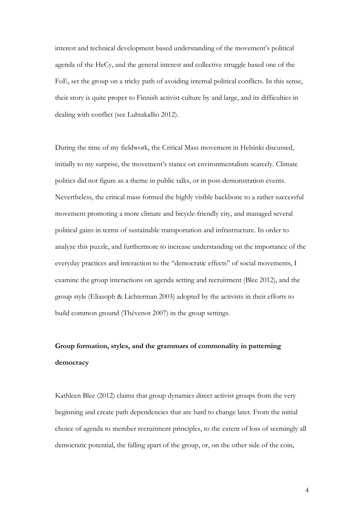interest and technical development based understanding of the movement's political agenda of the HeCy, and the general interest and collective struggle based one of the FoE, set the group on a tricky path of avoiding internal political conflicts. In this sense, their story is quite proper to Finnish activist culture by and large, and its difficulties in dealing with conflict (see Luhtakallio 2012).

During the time of my fieldwork, the Critical Mass movement in Helsinki discussed, initially to my surprise, the movement's stance on environmentalism scarcely. Climate politics did not figure as a theme in public talks, or in post-demonstration events. Nevertheless, the critical mass formed the highly visible backbone to a rather successful movement promoting a more climate and bicycle-friendly city, and managed several political gains in terms of sustainable transportation and infrastructure. In order to analyze this puzzle, and furthermore to increase understanding on the importance of the everyday practices and interaction to the "democratic effects" of social movements, I examine the group interactions on agenda setting and recruitment (Blee 2012), and the group style (Eliasoph & Lichterman 2003) adopted by the activists in their efforts to build common ground (Thévenot 2007) in the group settings.

# **Group formation, styles, and the grammars of commonality in patterning democracy**

Kathleen Blee (2012) claims that group dynamics direct activist groups from the very beginning and create path dependencies that are hard to change later. From the initial choice of agenda to member recruitment principles, to the extent of loss of seemingly all democratic potential, the falling apart of the group, or, on the other side of the coin,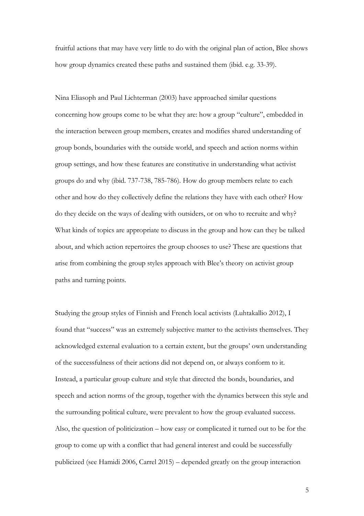fruitful actions that may have very little to do with the original plan of action, Blee shows how group dynamics created these paths and sustained them (ibid. e.g. 33-39).

Nina Eliasoph and Paul Lichterman (2003) have approached similar questions concerning how groups come to be what they are: how a group "culture", embedded in the interaction between group members, creates and modifies shared understanding of group bonds, boundaries with the outside world, and speech and action norms within group settings, and how these features are constitutive in understanding what activist groups do and why (ibid. 737-738, 785-786). How do group members relate to each other and how do they collectively define the relations they have with each other? How do they decide on the ways of dealing with outsiders, or on who to recruite and why? What kinds of topics are appropriate to discuss in the group and how can they be talked about, and which action repertoires the group chooses to use? These are questions that arise from combining the group styles approach with Blee's theory on activist group paths and turning points.

Studying the group styles of Finnish and French local activists (Luhtakallio 2012), I found that "success" was an extremely subjective matter to the activists themselves. They acknowledged external evaluation to a certain extent, but the groups' own understanding of the successfulness of their actions did not depend on, or always conform to it. Instead, a particular group culture and style that directed the bonds, boundaries, and speech and action norms of the group, together with the dynamics between this style and the surrounding political culture, were prevalent to how the group evaluated success. Also, the question of politicization – how easy or complicated it turned out to be for the group to come up with a conflict that had general interest and could be successfully publicized (see Hamidi 2006, Carrel 2015) – depended greatly on the group interaction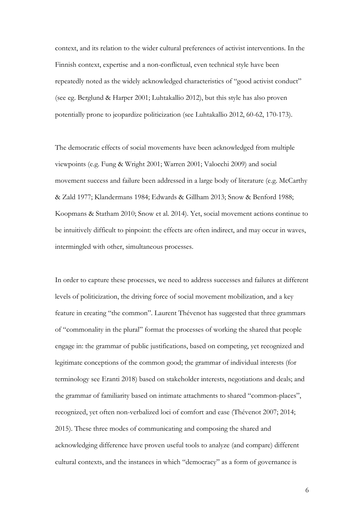context, and its relation to the wider cultural preferences of activist interventions. In the Finnish context, expertise and a non-conflictual, even technical style have been repeatedly noted as the widely acknowledged characteristics of "good activist conduct" (see eg. Berglund & Harper 2001; Luhtakallio 2012), but this style has also proven potentially prone to jeopardize politicization (see Luhtakallio 2012, 60-62, 170-173).

The democratic effects of social movements have been acknowledged from multiple viewpoints (e.g. Fung & Wright 2001; Warren 2001; Valocchi 2009) and social movement success and failure been addressed in a large body of literature (e.g. McCarthy & Zald 1977; Klandermans 1984; Edwards & Gillham 2013; Snow & Benford 1988; Koopmans & Statham 2010; Snow et al. 2014). Yet, social movement actions continue to be intuitively difficult to pinpoint: the effects are often indirect, and may occur in waves, intermingled with other, simultaneous processes.

In order to capture these processes, we need to address successes and failures at different levels of politicization, the driving force of social movement mobilization, and a key feature in creating "the common". Laurent Thévenot has suggested that three grammars of "commonality in the plural" format the processes of working the shared that people engage in: the grammar of public justifications, based on competing, yet recognized and legitimate conceptions of the common good; the grammar of individual interests (for terminology see Eranti 2018) based on stakeholder interests, negotiations and deals; and the grammar of familiarity based on intimate attachments to shared "common-places", recognized, yet often non-verbalized loci of comfort and ease (Thévenot 2007; 2014; 2015). These three modes of communicating and composing the shared and acknowledging difference have proven useful tools to analyze (and compare) different cultural contexts, and the instances in which "democracy" as a form of governance is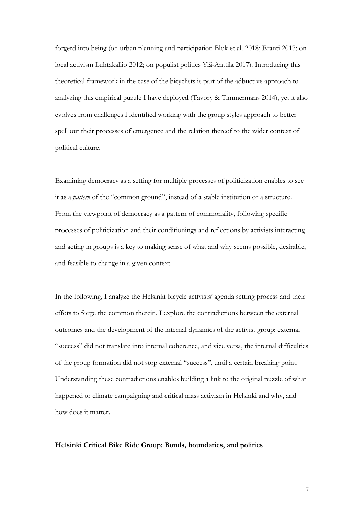forgerd into being (on urban planning and participation Blok et al. 2018; Eranti 2017; on local activism Luhtakallio 2012; on populist politics Ylä-Anttila 2017). Introducing this theoretical framework in the case of the bicyclists is part of the adbuctive approach to analyzing this empirical puzzle I have deployed (Tavory & Timmermans 2014), yet it also evolves from challenges I identified working with the group styles approach to better spell out their processes of emergence and the relation thereof to the wider context of political culture.

Examining democracy as a setting for multiple processes of politicization enables to see it as a *pattern* of the "common ground", instead of a stable institution or a structure. From the viewpoint of democracy as a pattern of commonality, following specific processes of politicization and their conditionings and reflections by activists interacting and acting in groups is a key to making sense of what and why seems possible, desirable, and feasible to change in a given context.

In the following, I analyze the Helsinki bicycle activists' agenda setting process and their effots to forge the common therein. I explore the contradictions between the external outcomes and the development of the internal dynamics of the activist group: external "success" did not translate into internal coherence, and vice versa, the internal difficulties of the group formation did not stop external "success", until a certain breaking point. Understanding these contradictions enables building a link to the original puzzle of what happened to climate campaigning and critical mass activism in Helsinki and why, and how does it matter.

### **Helsinki Critical Bike Ride Group: Bonds, boundaries, and politics**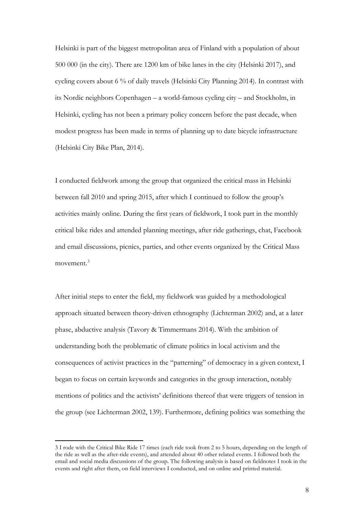Helsinki is part of the biggest metropolitan area of Finland with a population of about 500 000 (in the city). There are 1200 km of bike lanes in the city (Helsinki 2017), and cycling covers about 6 % of daily travels (Helsinki City Planning 2014). In contrast with its Nordic neighbors Copenhagen – a world-famous cycling city – and Stockholm, in Helsinki, cycling has not been a primary policy concern before the past decade, when modest progress has been made in terms of planning up to date bicycle infrastructure (Helsinki City Bike Plan, 2014).

I conducted fieldwork among the group that organized the critical mass in Helsinki between fall 2010 and spring 2015, after which I continued to follow the group's activities mainly online. During the first years of fieldwork, I took part in the monthly critical bike rides and attended planning meetings, after ride gatherings, chat, Facebook and email discussions, picnics, parties, and other events organized by the Critical Mass movement. [3](#page-7-0)

After initial steps to enter the field, my fieldwork was guided by a methodological approach situated between theory-driven ethnography (Lichterman 2002) and, at a later phase, abductive analysis (Tavory & Timmermans 2014). With the ambition of understanding both the problematic of climate politics in local activism and the consequences of activist practices in the "patterning" of democracy in a given context, I began to focus on certain keywords and categories in the group interaction, notably mentions of politics and the activists' definitions thereof that were triggers of tension in the group (see Lichterman 2002, 139). Furthermore, defining politics was something the

<span id="page-7-0"></span> <sup>3</sup> I rode with the Critical Bike Ride 17 times (each ride took from 2 to 5 hours, depending on the length of the ride as well as the after-ride events), and attended about 40 other related events. I followed both the email and social media discussions of the group. The following analysis is based on fieldnotes I took in the events and right after them, on field interviews I conducted, and on online and printed material.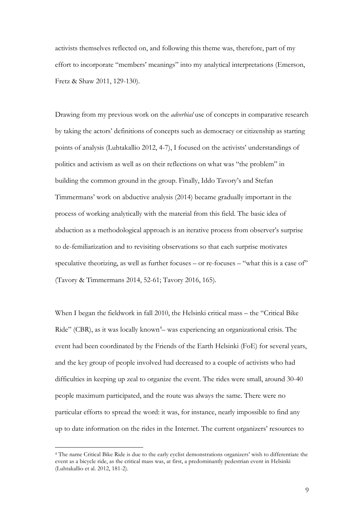activists themselves reflected on, and following this theme was, therefore, part of my effort to incorporate "members' meanings" into my analytical interpretations (Emerson, Fretz & Shaw 2011, 129-130).

Drawing from my previous work on the *adverbial* use of concepts in comparative research by taking the actors' definitions of concepts such as democracy or citizenship as starting points of analysis (Luhtakallio 2012, 4-7), I focused on the activists' understandings of politics and activism as well as on their reflections on what was "the problem" in building the common ground in the group. Finally, Iddo Tavory's and Stefan Timmermans' work on abductive analysis (2014) became gradually important in the process of working analytically with the material from this field. The basic idea of abduction as a methodological approach is an iterative process from observer's surprise to de-femiliarization and to revisiting observations so that each surprise motivates speculative theorizing, as well as further focuses – or re-focuses – "what this is a case of" (Tavory & Timmermans 2014, 52-61; Tavory 2016, 165).

When I began the fieldwork in fall 2010, the Helsinki critical mass – the "Critical Bike Ride" (CBR), as it was locally known<sup>[4](#page-8-0)</sup> - was experiencing an organizational crisis. The event had been coordinated by the Friends of the Earth Helsinki (FoE) for several years, and the key group of people involved had decreased to a couple of activists who had difficulties in keeping up zeal to organize the event. The rides were small, around 30-40 people maximum participated, and the route was always the same. There were no particular efforts to spread the word: it was, for instance, nearly impossible to find any up to date information on the rides in the Internet. The current organizers' resources to

<span id="page-8-0"></span> <sup>4</sup> The name Critical Bike Ride is due to the early cyclist demonstrations organizers' wish to differentiate the event as a bicycle ride, as the critical mass was, at first, a predominantly pedestrian event in Helsinki (Luhtakallio et al. 2012, 181-2).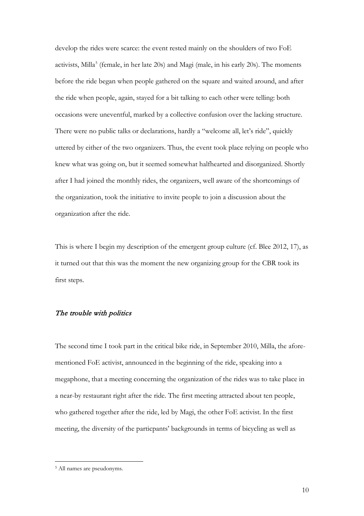develop the rides were scarce: the event rested mainly on the shoulders of two FoE activists, Milla<sup>[5](#page-9-0)</sup> (female, in her late 20s) and Magi (male, in his early 20s). The moments before the ride began when people gathered on the square and waited around, and after the ride when people, again, stayed for a bit talking to each other were telling: both occasions were uneventful, marked by a collective confusion over the lacking structure. There were no public talks or declarations, hardly a "welcome all, let's ride", quickly uttered by either of the two organizers. Thus, the event took place relying on people who knew what was going on, but it seemed somewhat halfhearted and disorganized. Shortly after I had joined the monthly rides, the organizers, well aware of the shortcomings of the organization, took the initiative to invite people to join a discussion about the organization after the ride.

This is where I begin my description of the emergent group culture (cf. Blee 2012, 17), as it turned out that this was the moment the new organizing group for the CBR took its first steps.

# The trouble with politics

The second time I took part in the critical bike ride, in September 2010, Milla, the aforementioned FoE activist, announced in the beginning of the ride, speaking into a megaphone, that a meeting concerning the organization of the rides was to take place in a near-by restaurant right after the ride. The first meeting attracted about ten people, who gathered together after the ride, led by Magi, the other FoE activist. In the first meeting, the diversity of the particpants' backgrounds in terms of bicycling as well as

<span id="page-9-0"></span> <sup>5</sup> All names are pseudonyms.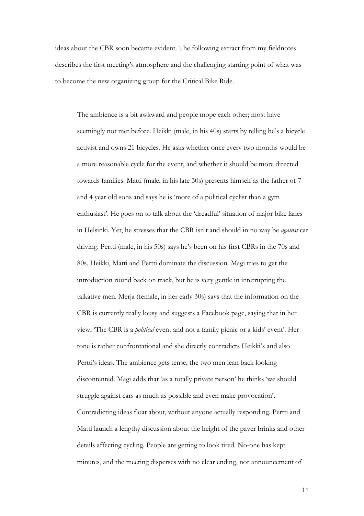ideas about the CBR soon became evident. The following extract from my fieldnotes describes the first meeting's atmosphere and the challenging starting point of what was to become the new organizing group for the Critical Bike Ride.

The ambience is a bit awkward and people mope each other; most have seemingly not met before. Heikki (male, in his 40s) starts by telling he's a bicycle activist and owns 21 bicycles. He asks whether once every two months would be a more reasonable cycle for the event, and whether it should be more directed towards families. Matti (male, in his late 30s) presents himself as the father of 7 and 4 year old sons and says he is 'more of a political cyclist than a gym enthusiast'. He goes on to talk about the 'dreadful' situation of major bike lanes in Helsinki. Yet, he stresses that the CBR isn't and should in no way be *against* car driving. Pertti (male, in his 50s) says he's been on his first CBRs in the 70s and 80s. Heikki, Matti and Pertti dominate the discussion. Magi tries to get the introduction round back on track, but he is very gentle in interrupting the talkative men. Merja (female, in her early 30s) says that the information on the CBR is currently really lousy and suggests a Facebook page, saying that in her view, 'The CBR is a *political* event and not a family picnic or a kids' event'. Her tone is rather confrontational and she directly contradicts Heikki's and also Pertti's ideas. The ambience gets tense, the two men lean back looking discontented. Magi adds that 'as a totally private person' he thinks 'we should struggle against cars as much as possible and even make provocation'. Contradicting ideas float about, without anyone actually responding. Pertti and Matti launch a lengthy discussion about the height of the paver brinks and other details affecting cycling. People are getting to look tired. No-one has kept minutes, and the meeting disperses with no clear ending, nor announcement of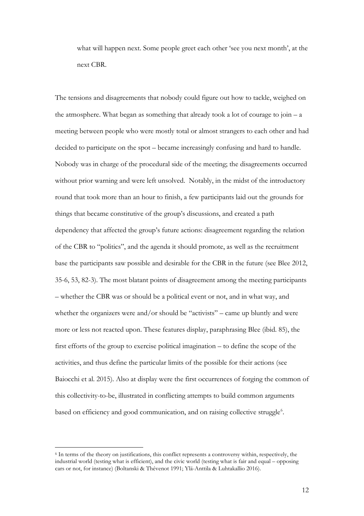what will happen next. Some people greet each other 'see you next month', at the next CBR.

The tensions and disagreements that nobody could figure out how to tackle, weighed on the atmosphere. What began as something that already took a lot of courage to join  $-a$ meeting between people who were mostly total or almost strangers to each other and had decided to participate on the spot – became increasingly confusing and hard to handle. Nobody was in charge of the procedural side of the meeting; the disagreements occurred without prior warning and were left unsolved. Notably, in the midst of the introductory round that took more than an hour to finish, a few participants laid out the grounds for things that became constitutive of the group's discussions, and created a path dependency that affected the group's future actions: disagreement regarding the relation of the CBR to "politics", and the agenda it should promote, as well as the recruitment base the participants saw possible and desirable for the CBR in the future (see Blee 2012, 35-6, 53, 82-3). The most blatant points of disagreement among the meeting participants – whether the CBR was or should be a political event or not, and in what way, and whether the organizers were and/or should be "activists" – came up bluntly and were more or less not reacted upon. These features display, paraphrasing Blee (ibid. 85), the first efforts of the group to exercise political imagination – to define the scope of the activities, and thus define the particular limits of the possible for their actions (see Baiocchi et al. 2015). Also at display were the first occurrences of forging the common of this collectivity-to-be, illustrated in conflicting attempts to build common arguments based on efficiency and good communication, and on raising collective struggle<sup>[6](#page-11-0)</sup>.

<span id="page-11-0"></span> <sup>6</sup> In terms of the theory on justifications, this conflict represents a controversy within, respectively, the industrial world (testing what is efficient), and the civic world (testing what is fair and equal – opposing cars or not, for instance) (Boltanski & Thévenot 1991; Ylä-Anttila & Luhtakallio 2016).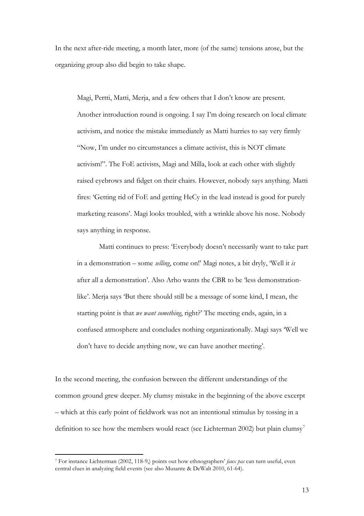In the next after-ride meeting, a month later, more (of the same) tensions arose, but the organizing group also did begin to take shape.

Magi, Pertti, Matti, Merja, and a few others that I don't know are present. Another introduction round is ongoing. I say I'm doing research on local climate activism, and notice the mistake immediately as Matti hurries to say very firmly "Now, I'm under no circumstances a climate activist, this is NOT climate activism!". The FoE activists, Magi and Milla, look at each other with slightly raised eyebrows and fidget on their chairs. However, nobody says anything. Matti fires: 'Getting rid of FoE and getting HeCy in the lead instead is good for purely marketing reasons'. Magi looks troubled, with a wrinkle above his nose. Nobody says anything in response.

Matti continues to press: 'Everybody doesn't necessarily want to take part in a demonstration – some *selling*, come on!' Magi notes, a bit dryly, 'Well it *is* after all a demonstration'. Also Arho wants the CBR to be 'less demonstrationlike'. Merja says 'But there should still be a message of some kind, I mean, the starting point is that *we want something*, right?' The meeting ends, again, in a confused atmosphere and concludes nothing organizationally. Magi says 'Well we don't have to decide anything now, we can have another meeting'.

In the second meeting, the confusion between the different understandings of the common ground grew deeper. My clumsy mistake in the beginning of the above excerpt – which at this early point of fieldwork was not an intentional stimulus by tossing in a definition to see how the members would react (see Lichterman 2002) but plain clumsy<sup>[7](#page-12-0)</sup>

<span id="page-12-0"></span> <sup>7</sup> For instance Lichterman (2002, 118-9,) points out how ethnographers' *faux pas* can turn useful, even central clues in analyzing field events (see also Musante & DeWalt 2010, 61-64).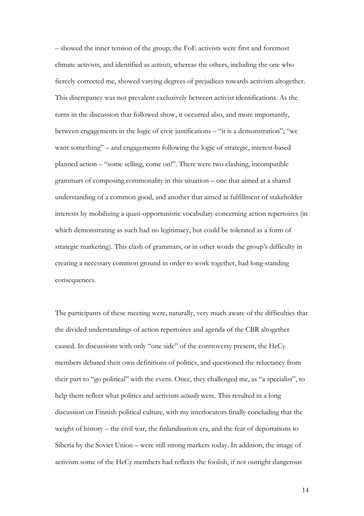– showed the inner tension of the group; the FoE activists were first and foremost climate activists, and identified as *activists*, whereas the others, including the one who fiercely corrected me, showed varying degrees of prejudices towards activism altogether. This discrepancy was not prevalent exclusively between activist identifications. As the turns in the discussion that followed show, it occurred also, and more importantly, between engagements in the logic of civic justifications – "it is a demonstration"; "we want something" – and engagements following the logic of strategic, interest-based planned action – "some selling, come on!". There were two clashing, incompatible grammars of composing commonality in this situation – one that aimed at a shared understanding of a common good, and another that aimed at fulfillment of stakeholder interests by mobilizing a quasi-opportunistic vocabulary concerning action repertoires (in which demonstrating as such had no legitimacy, but could be tolerated as a form of strategic marketing). This clash of grammars, or in other words the group's difficulty in creating a necessary common ground in order to work together, had long-standing consequences.

The participants of these meeting were, naturally, very much aware of the difficulties that the divided understandings of action repertoires and agenda of the CBR altogether caused. In discussions with only "one side" of the controversy present, the HeCy members debated their own definitions of politics, and questioned the reluctancy from their part to "go political" with the event. Once, they challenged me, as "a specialist", to help them reflect what politics and activism *actually* were. This resulted in a long discussion on Finnish political culture, with my interlocutors finally concluding that the weight of history – the civil war, the finlandisation era, and the fear of deportations to Siberia by the Soviet Union – were still strong markers today. In addition, the image of activism some of the HeCy members had reflects the foolish, if not outright dangerous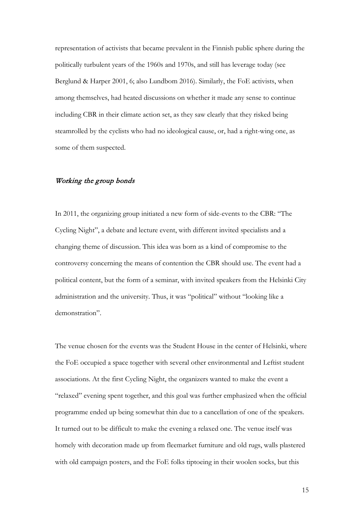representation of activists that became prevalent in the Finnish public sphere during the politically turbulent years of the 1960s and 1970s, and still has leverage today (see Berglund & Harper 2001, 6; also Lundbom 2016). Similarly, the FoE activists, when among themselves, had heated discussions on whether it made any sense to continue including CBR in their climate action set, as they saw clearly that they risked being steamrolled by the cyclists who had no ideological cause, or, had a right-wing one, as some of them suspected.

## Working the group bonds

In 2011, the organizing group initiated a new form of side-events to the CBR: "The Cycling Night", a debate and lecture event, with different invited specialists and a changing theme of discussion. This idea was born as a kind of compromise to the controversy concerning the means of contention the CBR should use. The event had a political content, but the form of a seminar, with invited speakers from the Helsinki City administration and the university. Thus, it was "political" without "looking like a demonstration".

The venue chosen for the events was the Student House in the center of Helsinki, where the FoE occupied a space together with several other environmental and Leftist student associations. At the first Cycling Night, the organizers wanted to make the event a "relaxed" evening spent together, and this goal was further emphasized when the official programme ended up being somewhat thin due to a cancellation of one of the speakers. It turned out to be difficult to make the evening a relaxed one. The venue itself was homely with decoration made up from fleemarket furniture and old rugs, walls plastered with old campaign posters, and the FoE folks tiptoeing in their woolen socks, but this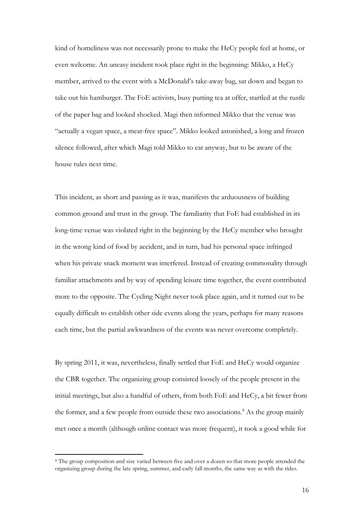kind of homeliness was not necessarily prone to make the HeCy people feel at home, or even welcome. An uneasy incident took place right in the beginning: Mikko, a HeCy member, arrived to the event with a McDonald's take-away bag, sat down and began to take out his hamburger. The FoE activists, busy putting tea at offer, startled at the rustle of the paper bag and looked shocked. Magi then informed Mikko that the venue was "actually a vegan space, a meat-free space". Mikko looked astonished, a long and frozen silence followed, after which Magi told Mikko to eat anyway, but to be aware of the house rules next time.

This incident, as short and passing as it was, manifests the arduousness of building common ground and trust in the group. The familiarity that FoE had established in its long-time venue was violated right in the beginning by the HeCy member who brought in the wrong kind of food by accident, and in turn, had his personal space infringed when his private snack moment was interfered. Instead of creating commonality through familiar attachments and by way of spending leisure time together, the event contributed more to the opposite. The Cycling Night never took place again, and it turned out to be equally difficult to establish other side events along the years, perhaps for many reasons each time, but the partial awkwardness of the events was never overcome completely.

By spring 2011, it was, nevertheless, finally settled that FoE and HeCy would organize the CBR together. The organizing group consisted loosely of the people present in the initial meetings, but also a handful of others, from both FoE and HeCy, a bit fewer from the former, and a few people from outside these two associations.<sup>[8](#page-15-0)</sup> As the group mainly met once a month (although online contact was more frequent), it took a good while for

<span id="page-15-0"></span> <sup>8</sup> The group composition and size varied between five and over a dozen so that more people attended the organizing group during the late spring, summer, and early fall months, the same way as with the rides.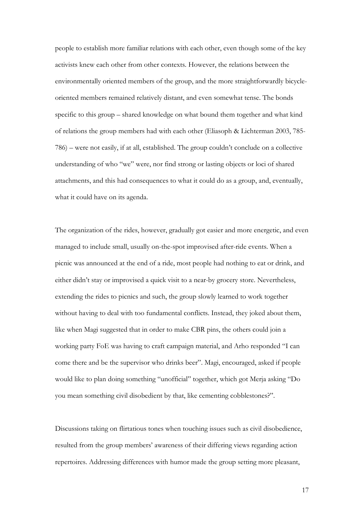people to establish more familiar relations with each other, even though some of the key activists knew each other from other contexts. However, the relations between the environmentally oriented members of the group, and the more straightforwardly bicycleoriented members remained relatively distant, and even somewhat tense. The bonds specific to this group – shared knowledge on what bound them together and what kind of relations the group members had with each other (Eliasoph & Lichterman 2003, 785- 786) – were not easily, if at all, established. The group couldn't conclude on a collective understanding of who "we" were, nor find strong or lasting objects or loci of shared attachments, and this had consequences to what it could do as a group, and, eventually, what it could have on its agenda.

The organization of the rides, however, gradually got easier and more energetic, and even managed to include small, usually on-the-spot improvised after-ride events. When a picnic was announced at the end of a ride, most people had nothing to eat or drink, and either didn't stay or improvised a quick visit to a near-by grocery store. Nevertheless, extending the rides to picnics and such, the group slowly learned to work together without having to deal with too fundamental conflicts. Instead, they joked about them, like when Magi suggested that in order to make CBR pins, the others could join a working party FoE was having to craft campaign material, and Arho responded "I can come there and be the supervisor who drinks beer". Magi, encouraged, asked if people would like to plan doing something "unofficial" together, which got Merja asking "Do you mean something civil disobedient by that, like cementing cobblestones?".

Discussions taking on flirtatious tones when touching issues such as civil disobedience, resulted from the group members' awareness of their differing views regarding action repertoires. Addressing differences with humor made the group setting more pleasant,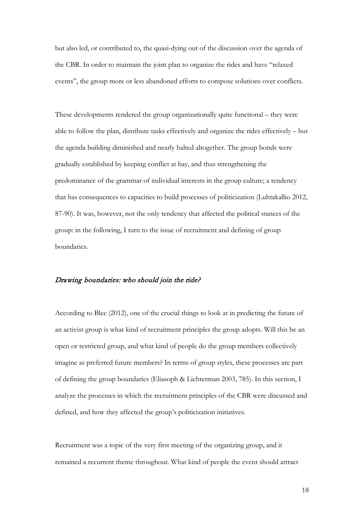but also led, or contributed to, the quasi-dying out of the discussion over the agenda of the CBR. In order to maintain the joint plan to organize the rides and have "relaxed events", the group more or less abandoned efforts to compose solutions over conflicts.

These developments rendered the group organizationally quite functional – they were able to follow the plan, distribute tasks effectively and organize the rides effectively – but the agenda building diminished and nearly halted altogether. The group bonds were gradually established by keeping conflict at bay, and thus strengthening the predominance of the grammar of individual interests in the group culture; a tendency that has consequences to capacities to build processes of politicization (Luhtakallio 2012, 87-90). It was, however, not the only tendency that affected the political stances of the group: in the following, I turn to the issue of recruitment and defining of group boundaries.

#### Drawing boundaries: who should join the ride?

According to Blee (2012), one of the crucial things to look at in predicting the future of an activist group is what kind of recruitment principles the group adopts. Will this be an open or restricted group, and what kind of people do the group members collectively imagine as preferred future members? In terms of group styles, these processes are part of defining the group boundaries (Eliasoph & Lichterman 2003, 785). In this section, I analyze the processes in which the recruitment principles of the CBR were discussed and defined, and how they affected the group's politicization initiatives.

Recruitment was a topic of the very first meeting of the organizing group, and it remained a recurrent theme throughout. What kind of people the event should attract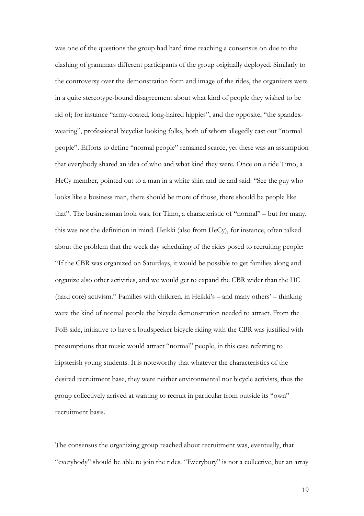was one of the questions the group had hard time reaching a consensus on due to the clashing of grammars different participants of the group originally deployed. Similarly to the controversy over the demonstration form and image of the rides, the organizers were in a quite stereotype-bound disagreement about what kind of people they wished to be rid of; for instance "army-coated, long-haired hippies", and the opposite, "the spandexwearing", professional bicyclist looking folks, both of whom allegedly cast out "normal people". Efforts to define "normal people" remained scarce, yet there was an assumption that everybody shared an idea of who and what kind they were. Once on a ride Timo, a HeCy member, pointed out to a man in a white shirt and tie and said: "See the guy who looks like a business man, there should be more of those, there should be people like that". The businessman look was, for Timo, a characteristic of "normal" – but for many, this was not the definition in mind. Heikki (also from HeCy), for instance, often talked about the problem that the week day scheduling of the rides posed to recruiting people: "If the CBR was organized on Saturdays, it would be possible to get families along and organize also other activities, and we would get to expand the CBR wider than the HC (hard core) activism." Families with children, in Heikki's – and many others' – thinking were the kind of normal people the bicycle demonstration needed to attract. From the FoE side, initiative to have a loudspeeker bicycle riding with the CBR was justified with presumptions that music would attract "normal" people, in this case referring to hipsterish young students. It is noteworthy that whatever the characteristics of the desired recruitment base, they were neither environmental nor bicycle activists, thus the group collectively arrived at wanting to recruit in particular from outside its "own" recruitment basis.

The consensus the organizing group reached about recruitment was, eventually, that "everybody" should be able to join the rides. "Everybory" is not a collective, but an array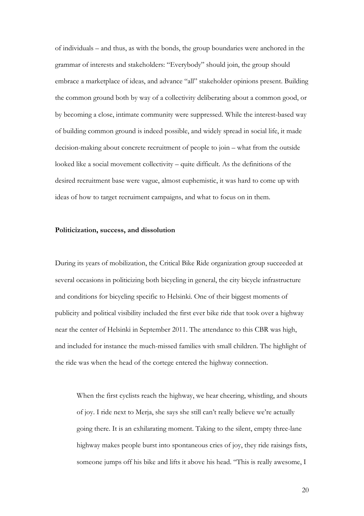of individuals – and thus, as with the bonds, the group boundaries were anchored in the grammar of interests and stakeholders: "Everybody" should join, the group should embrace a marketplace of ideas, and advance "all" stakeholder opinions present. Building the common ground both by way of a collectivity deliberating about a common good, or by becoming a close, intimate community were suppressed. While the interest-based way of building common ground is indeed possible, and widely spread in social life, it made decision-making about concrete recruitment of people to join – what from the outside looked like a social movement collectivity – quite difficult. As the definitions of the desired recruitment base were vague, almost euphemistic, it was hard to come up with ideas of how to target recruiment campaigns, and what to focus on in them.

#### **Politicization, success, and dissolution**

During its years of mobilization, the Critical Bike Ride organization group succeeded at several occasions in politicizing both bicycling in general, the city bicycle infrastructure and conditions for bicycling specific to Helsinki. One of their biggest moments of publicity and political visibility included the first ever bike ride that took over a highway near the center of Helsinki in September 2011. The attendance to this CBR was high, and included for instance the much-missed families with small children. The highlight of the ride was when the head of the cortege entered the highway connection.

When the first cyclists reach the highway, we hear cheering, whistling, and shouts of joy. I ride next to Merja, she says she still can't really believe we're actually going there. It is an exhilarating moment. Taking to the silent, empty three-lane highway makes people burst into spontaneous cries of joy, they ride raisings fists, someone jumps off his bike and lifts it above his head. "This is really awesome, I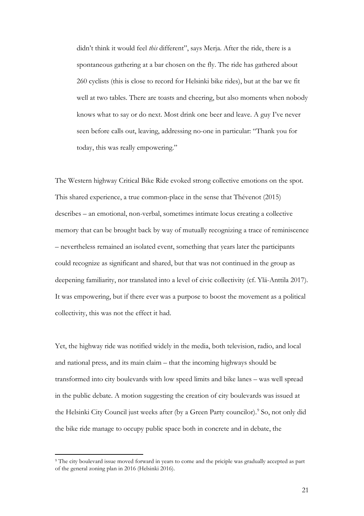didn't think it would feel *this* different", says Merja. After the ride, there is a spontaneous gathering at a bar chosen on the fly. The ride has gathered about 260 cyclists (this is close to record for Helsinki bike rides), but at the bar we fit well at two tables. There are toasts and cheering, but also moments when nobody knows what to say or do next. Most drink one beer and leave. A guy I've never seen before calls out, leaving, addressing no-one in particular: "Thank you for today, this was really empowering."

The Western highway Critical Bike Ride evoked strong collective emotions on the spot. This shared experience, a true common-place in the sense that Thévenot (2015) describes – an emotional, non-verbal, sometimes intimate locus creating a collective memory that can be brought back by way of mutually recognizing a trace of reminiscence – nevertheless remained an isolated event, something that years later the participants could recognize as significant and shared, but that was not continued in the group as deepening familiarity, nor translated into a level of civic collectivity (cf. Ylä-Anttila 2017). It was empowering, but if there ever was a purpose to boost the movement as a political collectivity, this was not the effect it had.

Yet, the highway ride was notified widely in the media, both television, radio, and local and national press, and its main claim – that the incoming highways should be transformed into city boulevards with low speed limits and bike lanes – was well spread in the public debate. A motion suggesting the creation of city boulevards was issued at the Helsinki City Council just weeks after (by a Green Party councilor). [9](#page-20-0) So, not only did the bike ride manage to occupy public space both in concrete and in debate, the

<span id="page-20-0"></span> <sup>9</sup> The city boulevard issue moved forward in years to come and the priciple was gradually accepted as part of the general zoning plan in 2016 (Helsinki 2016).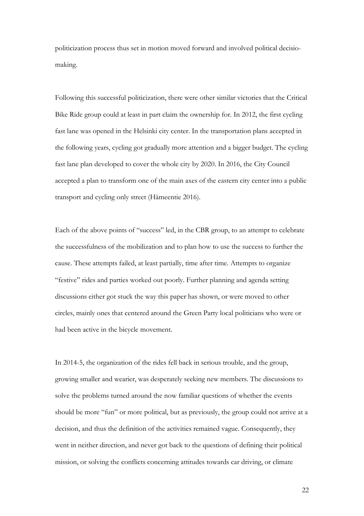politicization process thus set in motion moved forward and involved political decisiomaking.

Following this successful politicization, there were other similar victories that the Critical Bike Ride group could at least in part claim the ownership for. In 2012, the first cycling fast lane was opened in the Helsinki city center. In the transportation plans accepted in the following years, cycling got gradually more attention and a bigger budget. The cycling fast lane plan developed to cover the whole city by 2020. In 2016, the City Council accepted a plan to transform one of the main axes of the eastern city center into a public transport and cycling only street (Hämeentie 2016).

Each of the above points of "success" led, in the CBR group, to an attempt to celebrate the successfulness of the mobilization and to plan how to use the success to further the cause. These attempts failed, at least partially, time after time. Attempts to organize "festive" rides and parties worked out poorly. Further planning and agenda setting discussions either got stuck the way this paper has shown, or were moved to other circles, mainly ones that centered around the Green Party local politicians who were or had been active in the bicycle movement.

In 2014-5, the organization of the rides fell back in serious trouble, and the group, growing smaller and wearier, was desperately seeking new members. The discussions to solve the problems turned around the now familiar questions of whether the events should be more "fun" or more political, but as previously, the group could not arrive at a decision, and thus the definition of the activities remained vague. Consequently, they went in neither direction, and never got back to the questions of defining their political mission, or solving the conflicts concerning attitudes towards car driving, or climate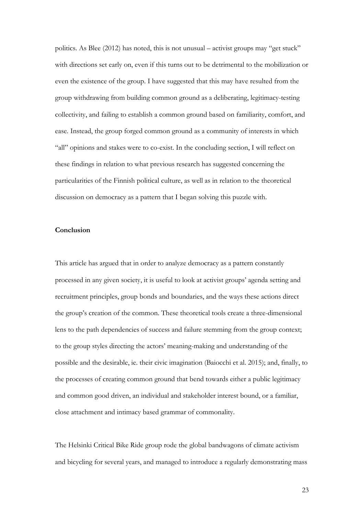politics. As Blee (2012) has noted, this is not unusual – activist groups may "get stuck" with directions set early on, even if this turns out to be detrimental to the mobilization or even the existence of the group. I have suggested that this may have resulted from the group withdrawing from building common ground as a deliberating, legitimacy-testing collectivity, and failing to establish a common ground based on familiarity, comfort, and ease. Instead, the group forged common ground as a community of interests in which "all" opinions and stakes were to co-exist. In the concluding section, I will reflect on these findings in relation to what previous research has suggested concerning the particularities of the Finnish political culture, as well as in relation to the theoretical discussion on democracy as a pattern that I began solving this puzzle with.

#### **Conclusion**

This article has argued that in order to analyze democracy as a pattern constantly processed in any given society, it is useful to look at activist groups' agenda setting and recruitment principles, group bonds and boundaries, and the ways these actions direct the group's creation of the common. These theoretical tools create a three-dimensional lens to the path dependencies of success and failure stemming from the group context; to the group styles directing the actors' meaning-making and understanding of the possible and the desirable, ie. their civic imagination (Baiocchi et al. 2015); and, finally, to the processes of creating common ground that bend towards either a public legitimacy and common good driven, an individual and stakeholder interest bound, or a familiar, close attachment and intimacy based grammar of commonality.

The Helsinki Critical Bike Ride group rode the global bandwagons of climate activism and bicycling for several years, and managed to introduce a regularly demonstrating mass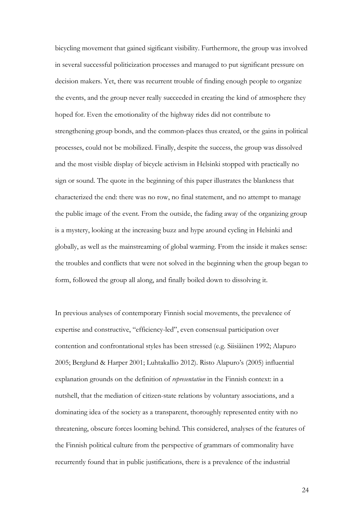bicycling movement that gained sigificant visibility. Furthermore, the group was involved in several successful politicization processes and managed to put significant pressure on decision makers. Yet, there was recurrent trouble of finding enough people to organize the events, and the group never really succeeded in creating the kind of atmosphere they hoped for. Even the emotionality of the highway rides did not contribute to strengthening group bonds, and the common-places thus created, or the gains in political processes, could not be mobilized. Finally, despite the success, the group was dissolved and the most visible display of bicycle activism in Helsinki stopped with practically no sign or sound. The quote in the beginning of this paper illustrates the blankness that characterized the end: there was no row, no final statement, and no attempt to manage the public image of the event. From the outside, the fading away of the organizing group is a mystery, looking at the increasing buzz and hype around cycling in Helsinki and globally, as well as the mainstreaming of global warming. From the inside it makes sense: the troubles and conflicts that were not solved in the beginning when the group began to form, followed the group all along, and finally boiled down to dissolving it.

In previous analyses of contemporary Finnish social movements, the prevalence of expertise and constructive, "efficiency-led", even consensual participation over contention and confrontational styles has been stressed (e.g. Siisiäinen 1992; Alapuro 2005; Berglund & Harper 2001; Luhtakallio 2012). Risto Alapuro's (2005) influential explanation grounds on the definition of *representation* in the Finnish context: in a nutshell, that the mediation of citizen-state relations by voluntary associations, and a dominating idea of the society as a transparent, thoroughly represented entity with no threatening, obscure forces looming behind. This considered, analyses of the features of the Finnish political culture from the perspective of grammars of commonality have recurrently found that in public justifications, there is a prevalence of the industrial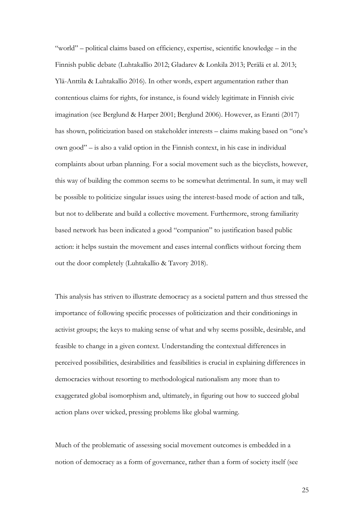"world" – political claims based on efficiency, expertise, scientific knowledge – in the Finnish public debate (Luhtakallio 2012; Gladarev & Lonkila 2013; Perälä et al. 2013; Ylä-Anttila & Luhtakallio 2016). In other words, expert argumentation rather than contentious claims for rights, for instance, is found widely legitimate in Finnish civic imagination (see Berglund & Harper 2001; Berglund 2006). However, as Eranti (2017) has shown, politicization based on stakeholder interests – claims making based on "one's own good" – is also a valid option in the Finnish context, in his case in individual complaints about urban planning. For a social movement such as the bicyclists, however, this way of building the common seems to be somewhat detrimental. In sum, it may well be possible to politicize singular issues using the interest-based mode of action and talk, but not to deliberate and build a collective movement. Furthermore, strong familiarity based network has been indicated a good "companion" to justification based public action: it helps sustain the movement and eases internal conflicts without forcing them out the door completely (Luhtakallio & Tavory 2018).

This analysis has striven to illustrate democracy as a societal pattern and thus stressed the importance of following specific processes of politicization and their conditionings in activist groups; the keys to making sense of what and why seems possible, desirable, and feasible to change in a given context. Understanding the contextual differences in perceived possibilities, desirabilities and feasibilities is crucial in explaining differences in democracies without resorting to methodological nationalism any more than to exaggerated global isomorphism and, ultimately, in figuring out how to succeed global action plans over wicked, pressing problems like global warming.

Much of the problematic of assessing social movement outcomes is embedded in a notion of democracy as a form of governance, rather than a form of society itself (see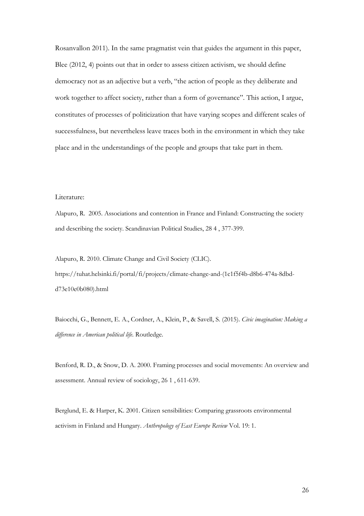Rosanvallon 2011). In the same pragmatist vein that guides the argument in this paper, Blee (2012, 4) points out that in order to assess citizen activism, we should define democracy not as an adjective but a verb, "the action of people as they deliberate and work together to affect society, rather than a form of governance". This action, I argue, constitutes of processes of politicization that have varying scopes and different scales of successfulness, but nevertheless leave traces both in the environment in which they take place and in the understandings of the people and groups that take part in them.

# Literature:

Alapuro, R. 2005. Associations and contention in France and Finland: Constructing the society and describing the society. Scandinavian Political Studies, 28 4 , 377-399.

Alapuro, R. 2010. Climate Change and Civil Society (CLIC). https://tuhat.helsinki.fi/portal/fi/projects/climate-change-and-(1c1f5f4b-d8b6-474a-8dbdd73e10e0b080).html

Baiocchi, G., Bennett, E. A., Cordner, A., Klein, P., & Savell, S. (2015). *Civic imagination: Making a difference in American political life*. Routledge.

Benford, R. D., & Snow, D. A. 2000. Framing processes and social movements: An overview and assessment. Annual review of sociology, 26 1 , 611-639.

Berglund, E. & Harper, K. 2001. Citizen sensibilities: Comparing grassroots environmental activism in Finland and Hungary. *Anthropology of East Europe Review* Vol. 19: 1.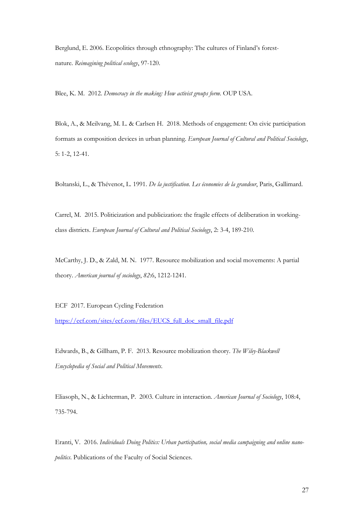Berglund, E. 2006. Ecopolitics through ethnography: The cultures of Finland's forestnature. *Reimagining political ecology*, 97-120.

Blee, K. M. 2012. *Democracy in the making: How activist groups form*. OUP USA.

Blok, A., & Meilvang, M. L. & Carlsen H. 2018. Methods of engagement: On civic participation formats as composition devices in urban planning. *European Journal of Cultural and Political Sociology*, 5: 1-2, 12-41.

Boltanski, L., & Thévenot, L. 1991. *De la justification. Les économies de la grandeur*, Paris, Gallimard.

Carrel, M. 2015. Politicization and publicization: the fragile effects of deliberation in workingclass districts. *European Journal of Cultural and Political Sociology*, 2: 3-4, 189-210.

McCarthy, J. D., & Zald, M. N. 1977. Resource mobilization and social movements: A partial theory. *American journal of sociology*, *82*:6, 1212-1241.

ECF 2017. European Cycling Federation

[https://ecf.com/sites/ecf.com/files/EUCS\\_full\\_doc\\_small\\_file.pdf](https://ecf.com/sites/ecf.com/files/EUCS_full_doc_small_file.pdf)

Edwards, B., & Gillham, P. F. 2013. Resource mobilization theory. *The Wiley-Blackwell Encyclopedia of Social and Political Movements*.

Eliasoph, N., & Lichterman, P. 2003. Culture in interaction. *American Journal of Sociology*, 108:4, 735-794.

Eranti, V. 2016. *Individuals Doing Politics: Urban participation, social media campaigning and online nanopolitics*. Publications of the Faculty of Social Sciences.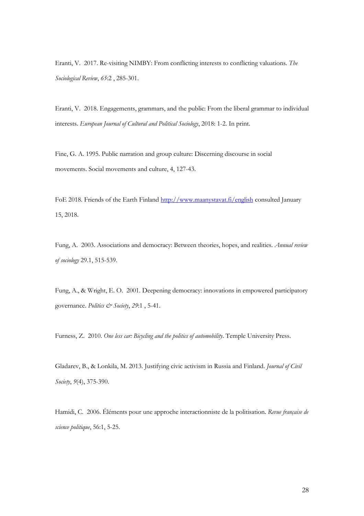Eranti, V. 2017. Re-visiting NIMBY: From conflicting interests to conflicting valuations. *The Sociological Review*, *65*:2 , 285-301.

Eranti, V. 2018. Engagements, grammars, and the public: From the liberal grammar to individual interests. *European Journal of Cultural and Political Sociology*, 2018: 1-2. In print.

Fine, G. A. 1995. Public narration and group culture: Discerning discourse in social movements. Social movements and culture, 4, 127-43.

FoE 2018. Friends of the Earth Finland<http://www.maanystavat.fi/english> consulted January 15, 2018.

Fung, A. 2003. Associations and democracy: Between theories, hopes, and realities. *Annual review of sociology* 29.1, 515-539.

Fung, A., & Wright, E. O. 2001. Deepening democracy: innovations in empowered participatory governance. *Politics & Society*, *29*:1 , 5-41.

Furness, Z. 2010. *One less car: Bicycling and the politics of automobility*. Temple University Press.

Gladarev, B., & Lonkila, M. 2013. Justifying civic activism in Russia and Finland. *Journal of Civil Society*, *9*(4), 375-390.

Hamidi, C. 2006. Éléments pour une approche interactionniste de la politisation. *Revue française de science politique*, 56:1, 5-25.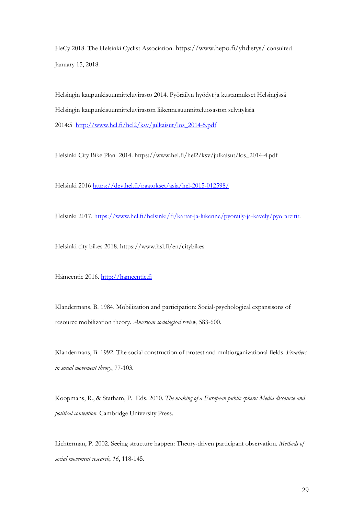HeCy 2018. The Helsinki Cyclist Association. https://www.hepo.fi/yhdistys/ consulted January 15, 2018.

Helsingin kaupunkisuunnitteluvirasto 2014. Pyöräilyn hyödyt ja kustannukset Helsingissä Helsingin kaupunkisuunnitteluviraston liikennesuunnitteluosaston selvityksiä 2014:5 [http://www.hel.fi/hel2/ksv/julkaisut/los\\_2014-5.pdf](http://www.hel.fi/hel2/ksv/julkaisut/los_2014-5.pdf)

Helsinki City Bike Plan 2014. https://www.hel.fi/hel2/ksv/julkaisut/los\_2014-4.pdf

Helsinki 2016<https://dev.hel.fi/paatokset/asia/hel-2015-012598/>

Helsinki 2017. [https://www.hel.fi/helsinki/fi/kartat-ja-liikenne/pyoraily-ja-kavely/pyorareitit.](https://www.hel.fi/helsinki/fi/kartat-ja-liikenne/pyoraily-ja-kavely/pyorareitit)

Helsinki city bikes 2018. https://www.hsl.fi/en/citybikes

Hämeentie 2016. [http://hameentie.fi](http://hameentie.fi/)

Klandermans, B. 1984. Mobilization and participation: Social-psychological expansisons of resource mobilization theory. *American sociological review*, 583-600.

Klandermans, B. 1992. The social construction of protest and multiorganizational fields. *Frontiers in social movement theory*, 77-103.

Koopmans, R., & Statham, P. Eds. 2010. *The making of a European public sphere: Media discourse and political contention*. Cambridge University Press.

Lichterman, P. 2002. Seeing structure happen: Theory-driven participant observation. *Methods of social movement research*, *16*, 118-145.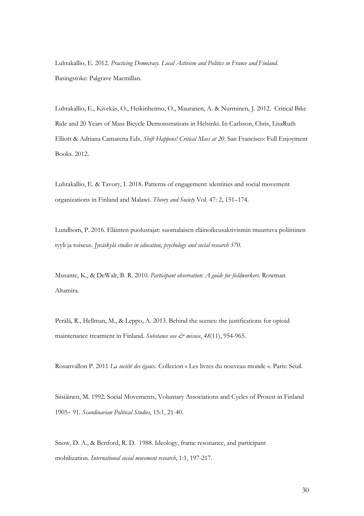Luhtakallio, E. 2012. *Practicing Democracy. Local Activism and Politics in France and Finland*. Basingstoke: Palgrave Macmillan.

Luhtakallio, E., Kivekäs, O., Heikinheimo, O., Mauranen, A. & Nurminen, J. 2012. Critical Bike Ride and 20 Years of Mass Bicycle Demonstrations in Helsinki. In Carlsson, Chris, LisaRuth Elliott & Adriana Camarena Eds. *Shift Happens! Critical Mass at 20.* San Francisco: Full Enjoyment Books. 2012.

Luhtakallio, E. & Tavory, I. 2018. Patterns of engagement: identities and social movement organizations in Finland and Malawi. *Theory and Society* Vol. 47: 2, 151–174.

Lundbom, P. 2016. Eläinten puolustajat: suomalaisen eläinoikeusaktivismin muuttuva poliittinen tyyli ja toiseus. *Jyväskylä studies in education, psychology and social research 570.*

Musante, K., & DeWalt, B. R. 2010. *Participant observation: A guide for fieldworkers*. Rowman Altamira.

Perälä, R., Hellman, M., & Leppo, A. 2013. Behind the scenes: the justifications for opioid maintenance treatment in Finland. *Substance use & misuse*, 48(11), 954-965.

Rosanvallon P. 2011 *La société des égaux.* Collecion « Les livres du nouveau monde ». Paris: Seuil.

Siisiäinen, M. 1992. Social Movements, Voluntary Associations and Cycles of Protest in Finland 1905‐ 91. *Scandinavian Political Studies*, 15:1, 21-40.

Snow, D. A., & Benford, R. D. 1988. Ideology, frame resonance, and participant mobilization. *International social movement research*, 1:1, 197-217.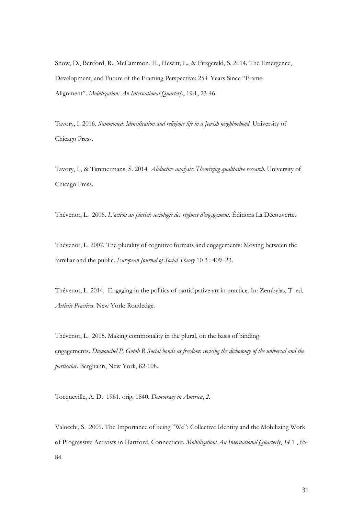Snow, D., Benford, R., McCammon, H., Hewitt, L., & Fitzgerald, S. 2014. The Emergence, Development, and Future of the Framing Perspective: 25+ Years Since "Frame Alignment". *Mobilization: An International Quarterly*, 19:1, 23-46.

Tavory, I. 2016. *Summoned: Identification and religious life in a Jewish neighborhood*. University of Chicago Press.

Tavory, I., & Timmermans, S. 2014. *Abductive analysis: Theorizing qualitative research*. University of Chicago Press.

Thévenot, L. 2006. *L'action au pluriel: sociologie des régimes d'engagement*. Éditions La Découverte.

Thévenot, L. 2007. The plurality of cognitive formats and engagements: Moving between the familiar and the public. *European Journal of Social Theory* 10 3 : 409–23.

Thévenot, L. 2014. Engaging in the politics of participative art in practice. In: Zembylas, T ed. *Artistic Practices*. New York: Routledge.

Thévenot, L. 2015. Making commonality in the plural, on the basis of binding engagements. *Dumouchel P, Gotoh R Social bonds as freedom: revising the dichotomy of the universal and the particular.* Berghahn, New York, 82-108.

Tocqueville, A. D. 1961. orig. 1840. *Democracy in America*, *2*.

Valocchi, S. 2009. The Importance of being "We": Collective Identity and the Mobilizing Work of Progressive Activists in Hartford, Connecticut. *Mobilization: An International Quarterly*, *14* 1 , 65- 84.